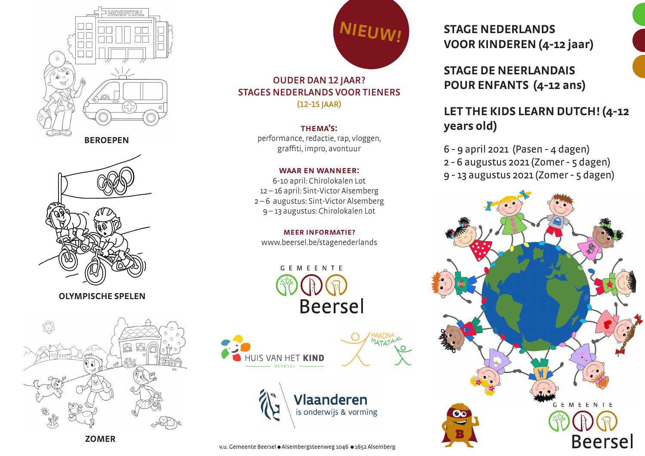



**OLYMPISCHE SPELEN**



**ZOMER**



## OUDER DAN 12 JAAR? STAGES NEDERLANDS VOOR TIENERS (12-15 JAAR)

### thema's:

performance, redactie, rap, vloggen, graffiti, impro, avontuur

### waar en wanneer:

6-10 april: Chirolokalen Lot 12 – 16 april: Sint-Victor Alsemberg 2 – 6 augustus: Sint-Victor Alsemberg 9 – 13 augustus: Chirolokalen Lot

### meer informatie?

www.beersel.be/stagenederlands







**ATAT** 

## **STAGE NEDERLANDS VOOR KINDEREN (4-12 jaar)**

**STAGE DE NEERLANDAIS POUR ENFANTS (4-12 ans)**

## **LET THE KIDS LEARN DUTCH! (4-12 years old)**

- 6 9 april 2021 (Pasen 4 dagen)
- 2 6 augustus 2021 (Zomer 5 dagen)
- 9 13 augustus 2021 (Zomer 5 dagen)